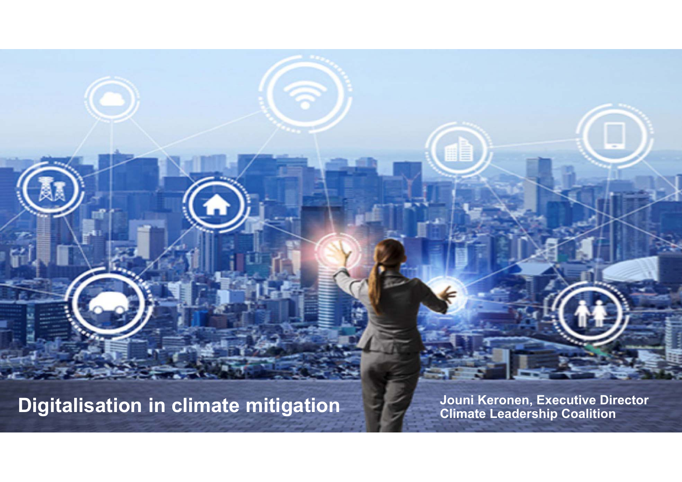**Digitalisation in climate mitigation**<br>Climate Leadership Coalition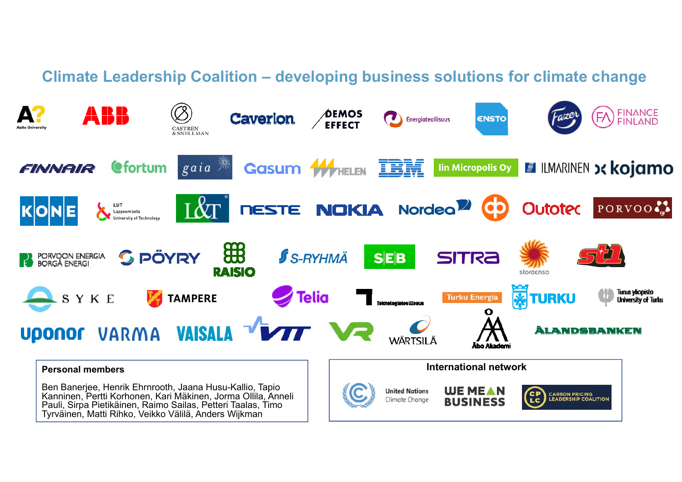## **Climate Leadership Coalition – developing business solutions for climate change**

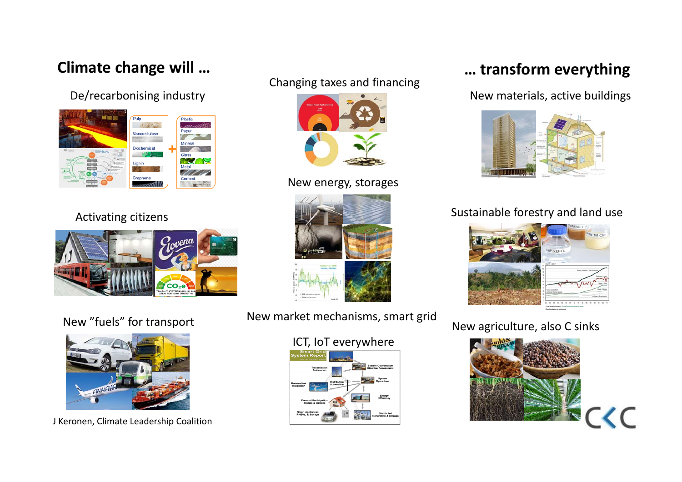## **Climate change will …**







J Keronen, Climate Leadership Coalition

## Changing taxes and financing



### New energy, storages



New market mechanisms, smart grid New "fuels" for transport

### ICT, IoT everywhere



# **… transform everything**

De/recarbonising industry and the state of the state of the New materials, active buildings



## Activating citizens **Sustainable forestry and land use** Activating citizens



## New agriculture, also C sinks

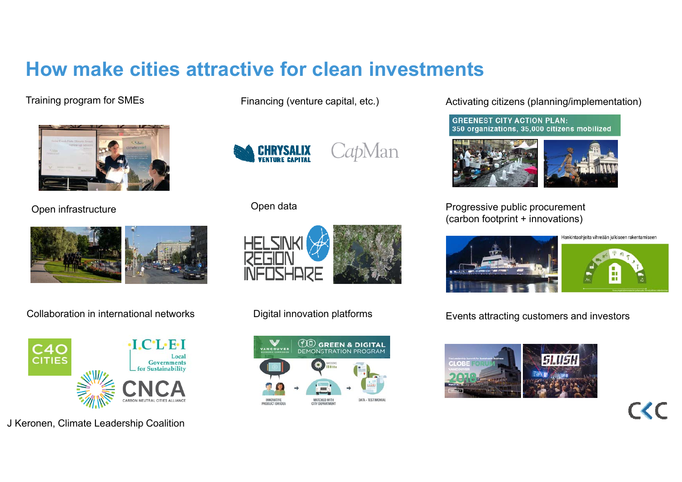# **How make cities attractive for clean investments**

Training program for SMEs



Open infrastructure





J Keronen, Climate Leadership Coalition

Financing (venture capital, etc.)



CapMan

### Open data



Digital innovation platforms



Activating citizens (planning/implementation)

**GREENEST CITY ACTION PLAN:** 350 organizations, 35,000 citizens mobilized



Progressive public procurement (carbon footprint + innovations)





 $C$ 

Collaboration in international networks **EVEN Digital innovation platforms** Events attracting customers and investors